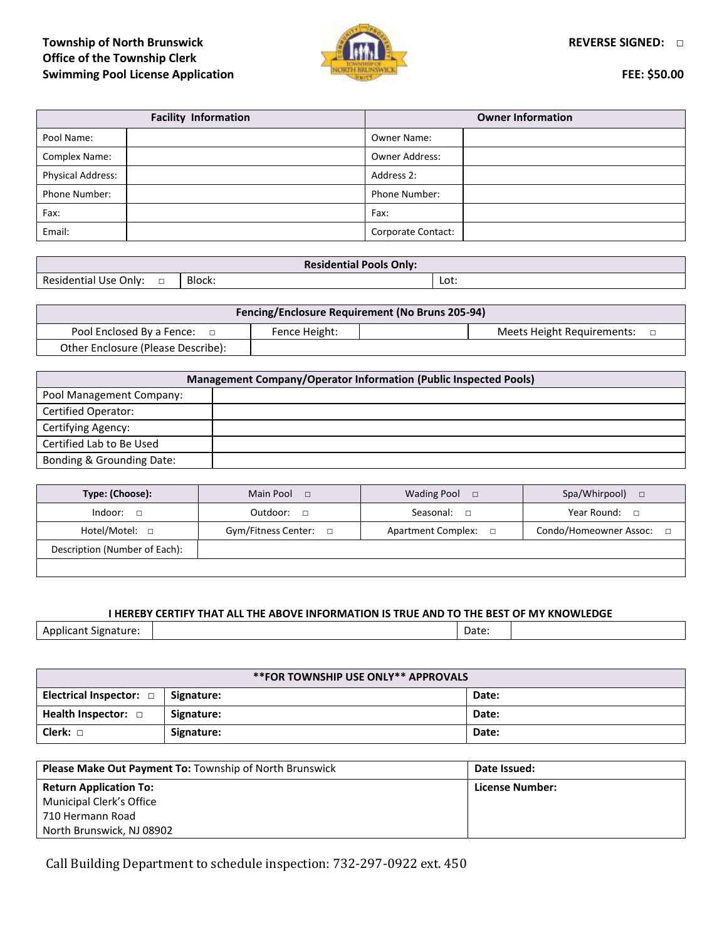# **Township of North Brunswick REVERSE SIGNED: □ Office of the Township Clerk Swimming Pool License Application FEE: \$50.00**



| <b>Facility Information</b> |  | <b>Owner Information</b> |  |
|-----------------------------|--|--------------------------|--|
| Pool Name:                  |  | <b>Owner Name:</b>       |  |
| <b>Complex Name:</b>        |  | <b>Owner Address:</b>    |  |
| <b>Physical Address:</b>    |  | Address 2:               |  |
| Phone Number:               |  | <b>Phone Number:</b>     |  |
| Fax:                        |  | Fax:                     |  |
| Email:                      |  | Corporate Contact:       |  |

| <b>Residential</b><br>l Pools Onlv:     |        |              |  |
|-----------------------------------------|--------|--------------|--|
| Residential<br>Only:<br>l Use<br>-<br>_ | Block: | Lot:<br>$ -$ |  |

| <b>Fencing/Enclosure Requirement (No Bruns 205-94)</b> |               |  |                            |  |
|--------------------------------------------------------|---------------|--|----------------------------|--|
| Pool Enclosed By a Fence:                              | Fence Height: |  | Meets Height Requirements: |  |
| Other Enclosure (Please Describe):                     |               |  |                            |  |

| Management Company/Operator Information (Public Inspected Pools) |  |  |
|------------------------------------------------------------------|--|--|
| Pool Management Company:                                         |  |  |
| Certified Operator:                                              |  |  |
| Certifying Agency:                                               |  |  |
| Certified Lab to Be Used                                         |  |  |
| Bonding & Grounding Date:                                        |  |  |

| Type: (Choose):               | Main Pool<br>$\Box$        | <b>Wading Pool</b><br>$\Box$ | Spa/Whirpool)<br>$\Box$ |
|-------------------------------|----------------------------|------------------------------|-------------------------|
| Indoor:<br>п                  | Outdoor:<br>$\Box$         | Seasonal:<br>$\Box$          | Year Round: $\Box$      |
| Hotel/Motel: 0                | Gym/Fitness Center: $\Box$ | <b>Apartment Complex:</b>    | Condo/Homeowner Assoc:  |
| Description (Number of Each): |                            |                              |                         |
|                               |                            |                              |                         |

#### **I HEREBY CERTIFY THAT ALL THE ABOVE INFORMATION IS TRUE AND TO THE BEST OF MY KNOWLEDGE**

Applicant Signature:  $\begin{vmatrix} \cdot & \cdot & \cdot \\ \cdot & \cdot & \cdot \\ \cdot & \cdot & \cdot \end{vmatrix}$  Date:

| **FOR TOWNSHIP USE ONLY** APPROVALS |            |       |  |
|-------------------------------------|------------|-------|--|
| Electrical Inspector: $\Box$        | Signature: | Date: |  |
| Health Inspector: $\Box$            | Signature: | Date: |  |
| Clerk: $\Box$                       | Signature: | Date: |  |

| <b>Please Make Out Payment To: Township of North Brunswick</b> | Date Issued:    |
|----------------------------------------------------------------|-----------------|
| <b>Return Application To:</b>                                  | License Number: |
| Municipal Clerk's Office                                       |                 |
| 710 Hermann Road                                               |                 |
| North Brunswick, NJ 08902                                      |                 |

Call Building Department to schedule inspection: 732-297-0922 ext. 450